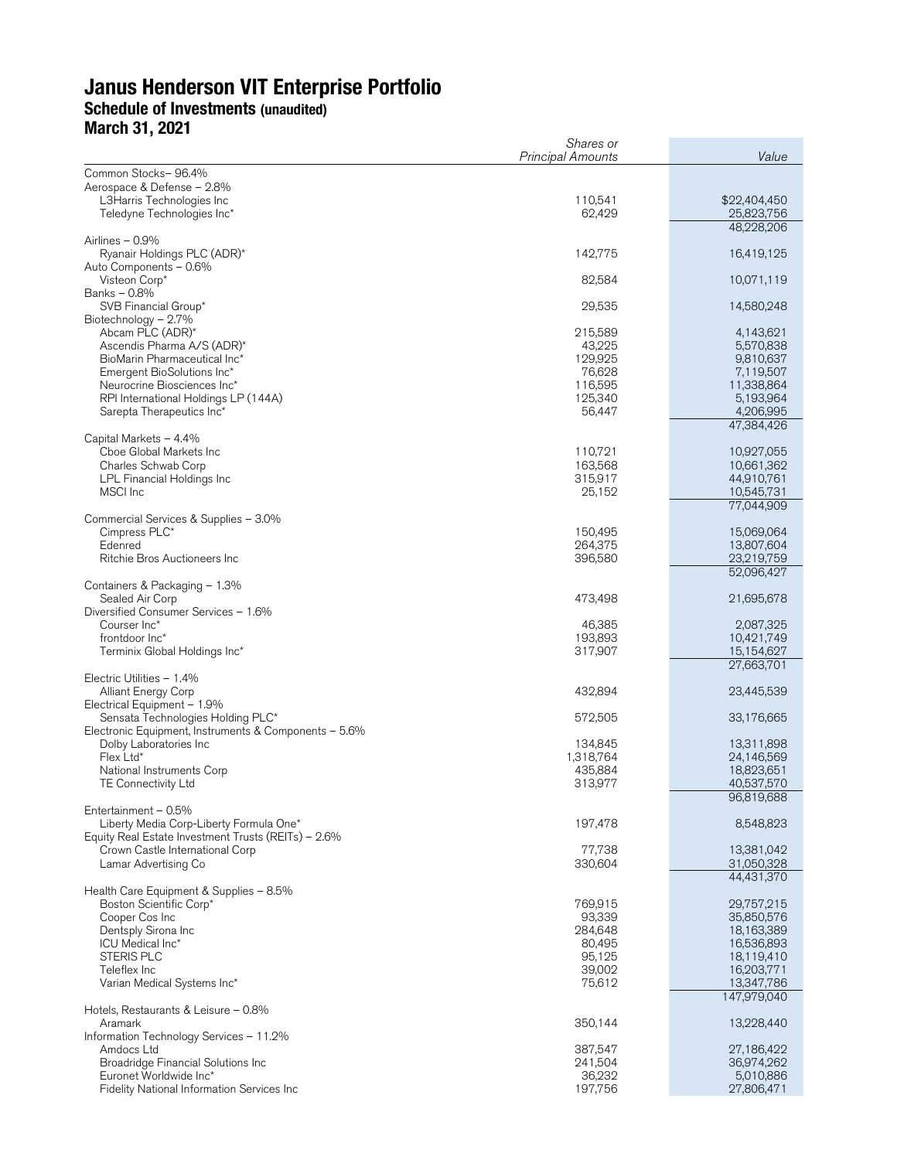# **Janus Henderson VIT Enterprise Portfolio Schedule of Investments (unaudited) March 31, 2021**

| 11141 VII VII LVL I                                              | Shares or<br><b>Principal Amounts</b> | Value                     |  |  |
|------------------------------------------------------------------|---------------------------------------|---------------------------|--|--|
| Common Stocks-96.4%                                              |                                       |                           |  |  |
| Aerospace & Defense - 2.8%                                       |                                       |                           |  |  |
| L3Harris Technologies Inc                                        | 110,541                               | \$22,404,450              |  |  |
| Teledyne Technologies Inc*                                       | 62,429                                | 25,823,756<br>48,228,206  |  |  |
| Airlines $-0.9%$                                                 |                                       |                           |  |  |
| Ryanair Holdings PLC (ADR)*                                      | 142,775                               | 16,419,125                |  |  |
| Auto Components - 0.6%<br>Visteon Corp*                          | 82,584                                | 10,071,119                |  |  |
| Banks - 0.8%                                                     |                                       |                           |  |  |
| SVB Financial Group*                                             | 29,535                                | 14,580,248                |  |  |
| Biotechnology - 2.7%<br>Abcam PLC (ADR)*                         | 215,589                               | 4,143,621                 |  |  |
| Ascendis Pharma A/S (ADR)*                                       | 43,225                                | 5,570,838                 |  |  |
| BioMarin Pharmaceutical Inc*                                     | 129,925                               | 9,810,637                 |  |  |
| Emergent BioSolutions Inc*<br>Neurocrine Biosciences Inc*        | 76,628<br>116,595                     | 7,119,507<br>11,338,864   |  |  |
| RPI International Holdings LP (144A)                             | 125,340                               | 5,193,964                 |  |  |
| Sarepta Therapeutics Inc*                                        | 56,447                                | 4,206,995                 |  |  |
| Capital Markets - 4.4%                                           |                                       | 47,384,426                |  |  |
| Cboe Global Markets Inc                                          | 110,721                               | 10,927,055                |  |  |
| Charles Schwab Corp                                              | 163,568                               | 10,661,362                |  |  |
| LPL Financial Holdings Inc                                       | 315,917                               | 44,910,761                |  |  |
| MSCI Inc                                                         | 25,152                                | 10,545,731<br>77,044,909  |  |  |
| Commercial Services & Supplies - 3.0%                            |                                       |                           |  |  |
| Cimpress PLC*                                                    | 150,495                               | 15,069,064                |  |  |
| Edenred<br>Ritchie Bros Auctioneers Inc                          | 264,375<br>396,580                    | 13,807,604<br>23,219,759  |  |  |
|                                                                  |                                       | 52,096,427                |  |  |
| Containers & Packaging - 1.3%                                    |                                       |                           |  |  |
| Sealed Air Corp<br>Diversified Consumer Services - 1.6%          | 473,498                               | 21,695,678                |  |  |
| Courser Inc*                                                     | 46,385                                | 2,087,325                 |  |  |
| frontdoor Inc*                                                   | 193,893                               | 10,421,749                |  |  |
| Terminix Global Holdings Inc*                                    | 317,907                               | 15,154,627<br>27,663,701  |  |  |
| Electric Utilities $-1.4\%$                                      |                                       |                           |  |  |
| <b>Alliant Energy Corp</b>                                       | 432,894                               | 23,445,539                |  |  |
| Electrical Equipment - 1.9%<br>Sensata Technologies Holding PLC* | 572,505                               | 33,176,665                |  |  |
| Electronic Equipment, Instruments & Components - 5.6%            |                                       |                           |  |  |
| Dolby Laboratories Inc.                                          | 134,845                               | 13,311,898                |  |  |
| Flex Ltd*<br>National Instruments Corp                           | 1,318,764<br>435,884                  | 24,146,569<br>18,823,651  |  |  |
| <b>TE Connectivity Ltd</b>                                       | 313,977                               | 40,537,570                |  |  |
|                                                                  |                                       | 96,819,688                |  |  |
| Entertainment - 0.5%<br>Liberty Media Corp-Liberty Formula One*  | 197,478                               | 8,548,823                 |  |  |
| Equity Real Estate Investment Trusts (REITs) - 2.6%              |                                       |                           |  |  |
| Crown Castle International Corp                                  | 77,738                                | 13,381,042                |  |  |
| Lamar Advertising Co                                             | 330,604                               | 31,050,328<br>44,431,370  |  |  |
| Health Care Equipment & Supplies - 8.5%                          |                                       |                           |  |  |
| Boston Scientific Corp*                                          | 769,915                               | 29,757,215                |  |  |
| Cooper Cos Inc<br>Dentsply Sirona Inc                            | 93,339<br>284,648                     | 35,850,576<br>18,163,389  |  |  |
| ICU Medical Inc*                                                 | 80,495                                | 16,536,893                |  |  |
| STERIS PLC                                                       | 95,125                                | 18,119,410                |  |  |
| Teleflex Inc                                                     | 39,002                                | 16,203,771                |  |  |
| Varian Medical Systems Inc*                                      | 75,612                                | 13,347,786<br>147,979,040 |  |  |
| Hotels, Restaurants & Leisure - 0.8%                             |                                       |                           |  |  |
| Aramark                                                          | 350,144                               | 13,228,440                |  |  |
| Information Technology Services - 11.2%<br>Amdocs Ltd            | 387,547                               | 27,186,422                |  |  |
| Broadridge Financial Solutions Inc                               | 241,504                               | 36,974,262                |  |  |
| Euronet Worldwide Inc*                                           | 36,232                                | 5,010,886                 |  |  |
| Fidelity National Information Services Inc                       | 197,756                               | 27,806,471                |  |  |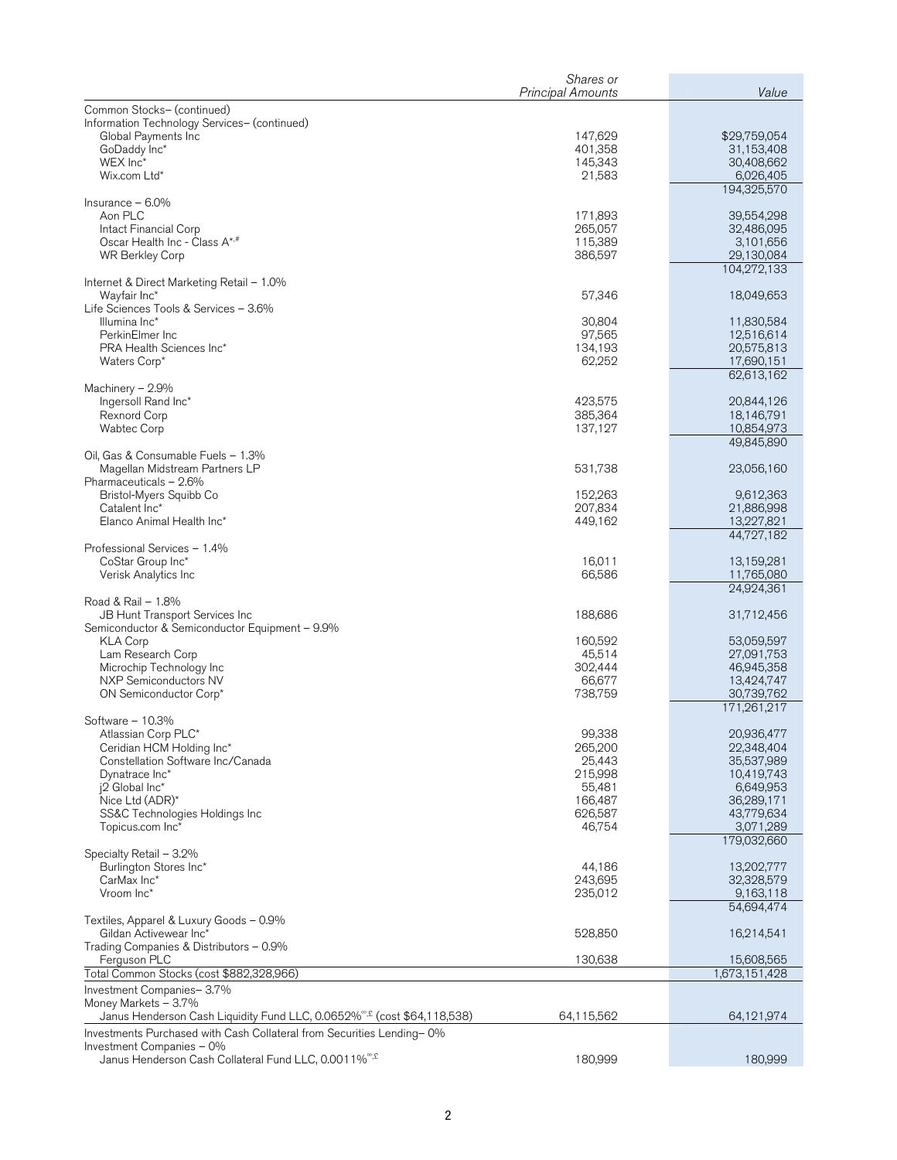|                                                                                                    | Shares or                |                          |
|----------------------------------------------------------------------------------------------------|--------------------------|--------------------------|
|                                                                                                    | <b>Principal Amounts</b> | Value                    |
| Common Stocks- (continued)<br>Information Technology Services- (continued)                         |                          |                          |
| Global Payments Inc                                                                                | 147,629                  | \$29,759,054             |
| GoDaddy Inc*                                                                                       | 401,358                  | 31,153,408               |
| WEX Inc*                                                                                           | 145,343                  | 30,408,662               |
| Wix.com Ltd*                                                                                       | 21,583                   | 6,026,405<br>194,325,570 |
| Insurance $-6.0\%$                                                                                 |                          |                          |
| Aon PLC                                                                                            | 171,893                  | 39,554,298               |
| Intact Financial Corp                                                                              | 265,057                  | 32,486,095               |
| Oscar Health Inc - Class A*,#                                                                      | 115,389                  | 3,101,656<br>29,130,084  |
| WR Berkley Corp                                                                                    | 386,597                  | 104,272,133              |
| Internet & Direct Marketing Retail - 1.0%                                                          |                          |                          |
| Wayfair Inc*                                                                                       | 57,346                   | 18,049,653               |
| Life Sciences Tools & Services - 3.6%                                                              |                          |                          |
| Illumina Inc*<br>PerkinElmer Inc                                                                   | 30,804<br>97,565         | 11,830,584<br>12,516,614 |
| PRA Health Sciences Inc*                                                                           | 134,193                  | 20,575,813               |
| Waters Corp*                                                                                       | 62,252                   | 17,690,151               |
|                                                                                                    |                          | 62,613,162               |
| Machinery $-2.9%$<br>Ingersoll Rand Inc*                                                           | 423,575                  | 20,844,126               |
| Rexnord Corp                                                                                       | 385,364                  | 18,146,791               |
| <b>Wabtec Corp</b>                                                                                 | 137,127                  | 10,854,973               |
|                                                                                                    |                          | 49,845,890               |
| Oil, Gas & Consumable Fuels - 1.3%<br>Magellan Midstream Partners LP                               | 531,738                  | 23,056,160               |
| Pharmaceuticals - 2.6%                                                                             |                          |                          |
| Bristol-Myers Squibb Co                                                                            | 152,263                  | 9,612,363                |
| Catalent Inc*                                                                                      | 207,834                  | 21,886,998               |
| Elanco Animal Health Inc*                                                                          | 449,162                  | 13,227,821<br>44,727,182 |
| Professional Services - 1.4%                                                                       |                          |                          |
| CoStar Group Inc*                                                                                  | 16,011                   | 13,159,281               |
| Verisk Analytics Inc                                                                               | 66,586                   | 11,765,080               |
|                                                                                                    |                          | 24,924,361               |
| Road & Rail - 1.8%<br>JB Hunt Transport Services Inc                                               | 188,686                  | 31,712,456               |
| Semiconductor & Semiconductor Equipment - 9.9%                                                     |                          |                          |
| <b>KLA Corp</b>                                                                                    | 160,592                  | 53,059,597               |
| Lam Research Corp                                                                                  | 45,514                   | 27,091,753               |
| Microchip Technology Inc<br>NXP Semiconductors NV                                                  | 302,444<br>66,677        | 46,945,358<br>13,424,747 |
| ON Semiconductor Corp*                                                                             | 738,759                  | 30,739,762               |
|                                                                                                    |                          | 171,261,217              |
| Software $-10.3%$                                                                                  |                          |                          |
| Atlassian Corp PLC*<br>Ceridian HCM Holding Inc*                                                   | 99,338<br>265,200        | 20,936,477<br>22,348,404 |
| Constellation Software Inc/Canada                                                                  | 25,443                   | 35,537,989               |
| Dynatrace Inc*                                                                                     | 215,998                  | 10,419,743               |
| j2 Global Inc*                                                                                     | 55,481                   | 6,649,953                |
| Nice Ltd (ADR)*<br>SS&C Technologies Holdings Inc                                                  | 166,487<br>626,587       | 36,289,171<br>43,779,634 |
| Topicus.com Inc*                                                                                   | 46,754                   | 3,071,289                |
|                                                                                                    |                          | 179,032,660              |
| Specialty Retail - 3.2%                                                                            |                          |                          |
| Burlington Stores Inc*<br>CarMax Inc*                                                              | 44,186<br>243,695        | 13,202,777<br>32,328,579 |
| Vroom Inc*                                                                                         | 235,012                  | 9,163,118                |
|                                                                                                    |                          | 54,694,474               |
| Textiles, Apparel & Luxury Goods - 0.9%                                                            |                          |                          |
| Gildan Activewear Inc*<br>Trading Companies & Distributors - 0.9%                                  | 528,850                  | 16,214,541               |
| Ferguson PLC                                                                                       | 130,638                  | 15,608,565               |
| Total Common Stocks (cost \$882,328,966)                                                           |                          | 1,673,151,428            |
| Investment Companies-3.7%                                                                          |                          |                          |
| Money Markets - 3.7%                                                                               |                          |                          |
| Janus Henderson Cash Liquidity Fund LLC, 0.0652% <sup>®,£</sup> (cost \$64,118,538)                | 64,115,562               | 64,121,974               |
| Investments Purchased with Cash Collateral from Securities Lending-0%<br>Investment Companies - 0% |                          |                          |
| Janus Henderson Cash Collateral Fund LLC, 0.0011% <sup>®,£</sup>                                   | 180,999                  | 180,999                  |
|                                                                                                    |                          |                          |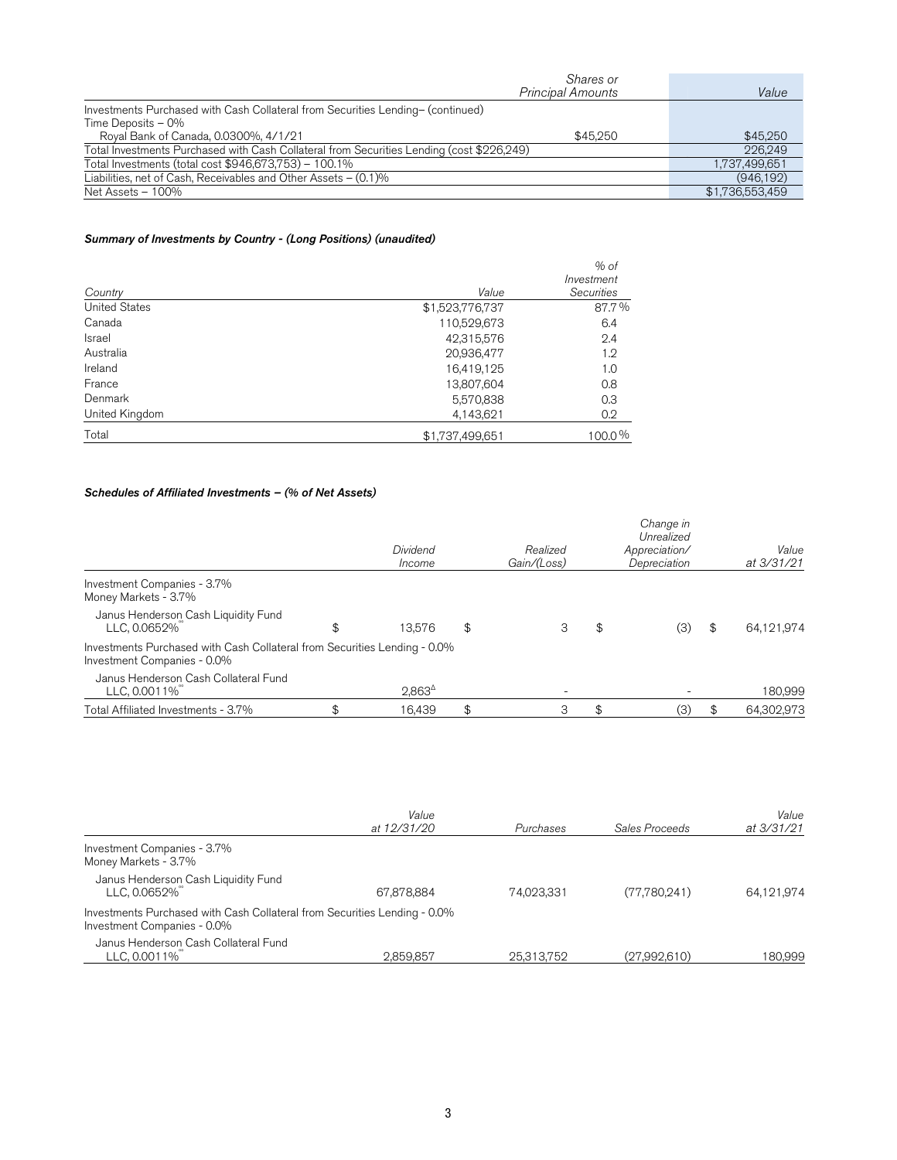| Shares or                                                                                 |                 |
|-------------------------------------------------------------------------------------------|-----------------|
| <b>Principal Amounts</b>                                                                  | Value           |
| Investments Purchased with Cash Collateral from Securities Lending- (continued)           |                 |
| Time Deposits $-0\%$                                                                      |                 |
| Royal Bank of Canada, 0.0300%, 4/1/21<br>\$45,250                                         | \$45,250        |
| Total Investments Purchased with Cash Collateral from Securities Lending (cost \$226,249) | 226.249         |
| Total Investments (total cost \$946,673,753) - 100.1%                                     | 1,737,499,651   |
| Liabilities, net of Cash, Receivables and Other Assets - (0.1)%                           | (946, 192)      |
| Net Assets - 100%                                                                         | \$1,736,553,459 |

### Summary of Investments by Country - (Long Positions) (unaudited)

|                      |                 | $%$ of                          |
|----------------------|-----------------|---------------------------------|
| Country              | Value           | Investment<br><b>Securities</b> |
| <b>United States</b> | \$1,523,776,737 | 87.7%                           |
| Canada               | 110,529,673     | 6.4                             |
| <b>Israel</b>        | 42,315,576      | 2.4                             |
| Australia            | 20,936,477      | 1.2                             |
| Ireland              | 16,419,125      | 1.0                             |
| France               | 13,807,604      | 0.8                             |
| Denmark              | 5,570,838       | 0.3                             |
| United Kingdom       | 4,143,621       | 0.2                             |
| Total                | \$1,737,499,651 | 100.0%                          |

### Schedules of Affiliated Investments – (% of Net Assets)

|                                                                                                          | Dividend<br>Income | Realized<br>Gain/(Loss) | Change in<br>Unrealized<br>Appreciation/<br>Depreciation | Value<br>at 3/31/21 |
|----------------------------------------------------------------------------------------------------------|--------------------|-------------------------|----------------------------------------------------------|---------------------|
| Investment Companies - 3.7%<br>Money Markets - 3.7%                                                      |                    |                         |                                                          |                     |
| Janus Henderson Cash Liquidity Fund<br>LLC, 0.0652%                                                      | \$<br>13.576       | \$<br>3                 | \$<br>(3)                                                | \$<br>64,121,974    |
| Investments Purchased with Cash Collateral from Securities Lending - 0.0%<br>Investment Companies - 0.0% |                    |                         |                                                          |                     |
| Janus Henderson Cash Collateral Fund<br>LLC, 0.0011%                                                     | $2,863^{\circ}$    |                         |                                                          | 180,999             |
| Total Affiliated Investments - 3.7%                                                                      | 16.439             | 3                       | (3)                                                      | 64,302,973          |

|                                                                                                          | Value       |            |                | Value      |
|----------------------------------------------------------------------------------------------------------|-------------|------------|----------------|------------|
|                                                                                                          | at 12/31/20 | Purchases  | Sales Proceeds | at 3/31/21 |
| Investment Companies - 3.7%<br>Money Markets - 3.7%                                                      |             |            |                |            |
| Janus Henderson Cash Liquidity Fund<br>LLC, 0.0652%                                                      | 67,878,884  | 74.023.331 | (77,780,241)   | 64,121,974 |
| Investments Purchased with Cash Collateral from Securities Lending - 0.0%<br>Investment Companies - 0.0% |             |            |                |            |
| Janus Henderson Cash Collateral Fund<br>LLC, 0.0011%                                                     | 2.859.857   | 25.313.752 | (27,992,610)   | 180,999    |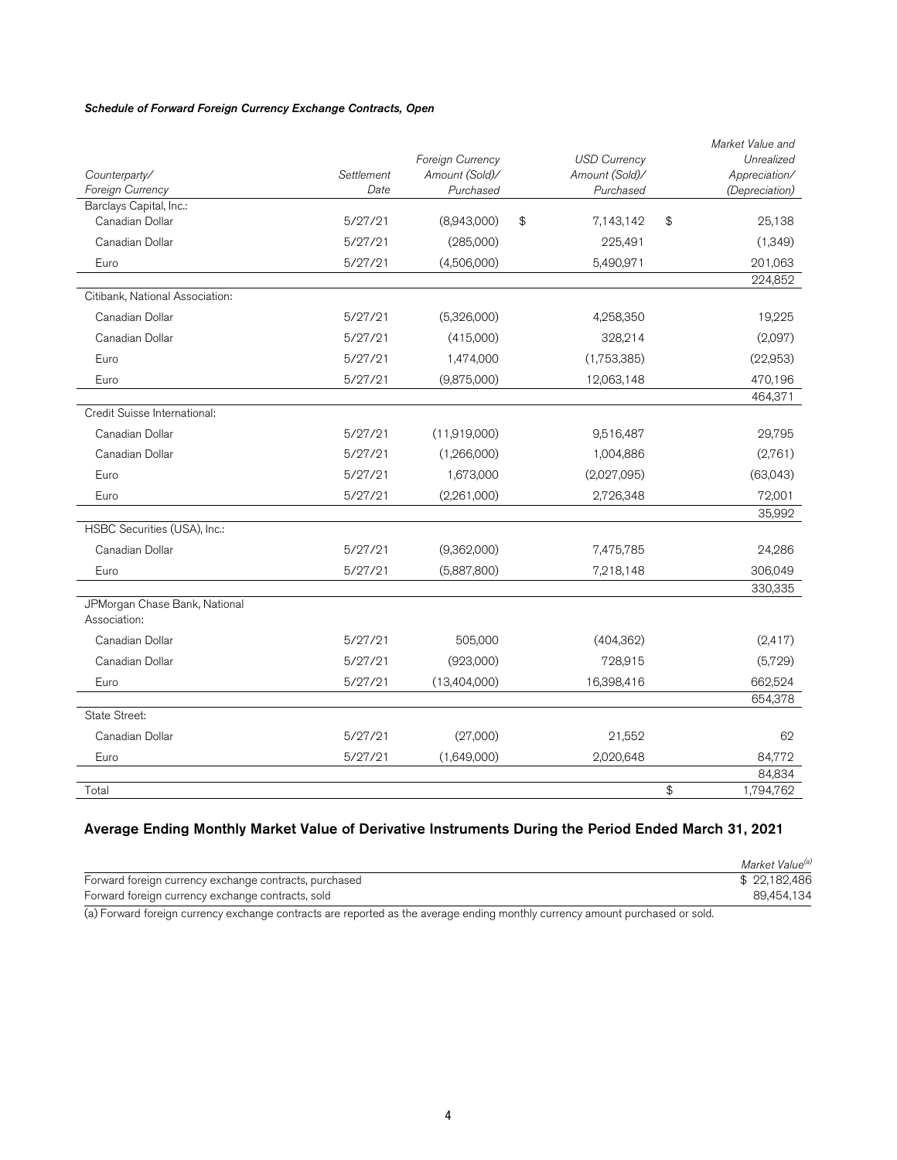### Schedule of Forward Foreign Currency Exchange Contracts, Open

|                                               |            | Foreign Currency | <b>USD Currency</b> | Market Value and<br>Unrealized |
|-----------------------------------------------|------------|------------------|---------------------|--------------------------------|
| Counterparty/                                 | Settlement | Amount (Sold)/   | Amount (Sold)/      | Appreciation/                  |
| Foreign Currency                              | Date       | Purchased        | Purchased           | (Depreciation)                 |
| Barclays Capital, Inc.:                       |            |                  |                     |                                |
| Canadian Dollar                               | 5/27/21    | (8,943,000)      | \$<br>7,143,142     | \$<br>25,138                   |
| Canadian Dollar                               | 5/27/21    | (285,000)        | 225,491             | (1,349)                        |
| Euro                                          | 5/27/21    | (4,506,000)      | 5,490,971           | 201,063                        |
|                                               |            |                  |                     | 224,852                        |
| Citibank, National Association:               |            |                  |                     |                                |
| Canadian Dollar                               | 5/27/21    | (5,326,000)      | 4,258,350           | 19,225                         |
| Canadian Dollar                               | 5/27/21    | (415,000)        | 328,214             | (2,097)                        |
| Euro                                          | 5/27/21    | 1,474,000        | (1,753,385)         | (22,953)                       |
| Euro                                          | 5/27/21    | (9,875,000)      | 12,063,148          | 470,196                        |
|                                               |            |                  |                     | 464,371                        |
| Credit Suisse International:                  |            |                  |                     |                                |
| Canadian Dollar                               | 5/27/21    | (11,919,000)     | 9,516,487           | 29,795                         |
| Canadian Dollar                               | 5/27/21    | (1,266,000)      | 1,004,886           | (2,761)                        |
| Euro                                          | 5/27/21    | 1,673,000        | (2,027,095)         | (63,043)                       |
| Euro                                          | 5/27/21    | (2,261,000)      | 2,726,348           | 72,001                         |
|                                               |            |                  |                     | 35,992                         |
| HSBC Securities (USA), Inc.:                  |            |                  |                     |                                |
| Canadian Dollar                               | 5/27/21    | (9,362,000)      | 7,475,785           | 24,286                         |
| Euro                                          | 5/27/21    | (5,887,800)      | 7,218,148           | 306,049                        |
|                                               |            |                  |                     | 330,335                        |
| JPMorgan Chase Bank, National<br>Association: |            |                  |                     |                                |
| Canadian Dollar                               | 5/27/21    | 505,000          | (404, 362)          | (2, 417)                       |
| Canadian Dollar                               | 5/27/21    | (923,000)        | 728,915             | (5,729)                        |
| Euro                                          | 5/27/21    | (13,404,000)     | 16,398,416          | 662,524                        |
|                                               |            |                  |                     | 654,378                        |
| State Street:                                 |            |                  |                     |                                |
| Canadian Dollar                               | 5/27/21    | (27,000)         | 21,552              | 62                             |
| Euro                                          | 5/27/21    | (1,649,000)      | 2,020,648           | 84,772                         |
|                                               |            |                  |                     | 84,834                         |
| Total                                         |            |                  |                     | \$<br>1,794,762                |

### Average Ending Monthly Market Value of Derivative Instruments During the Period Ended March 31, 2021

| Market Value <sup>(a)</sup> |
|-----------------------------|
| \$22,182,486                |
| 89.454.134                  |
|                             |

(a) Forward foreign currency exchange contracts are reported as the average ending monthly currency amount purchased or sold.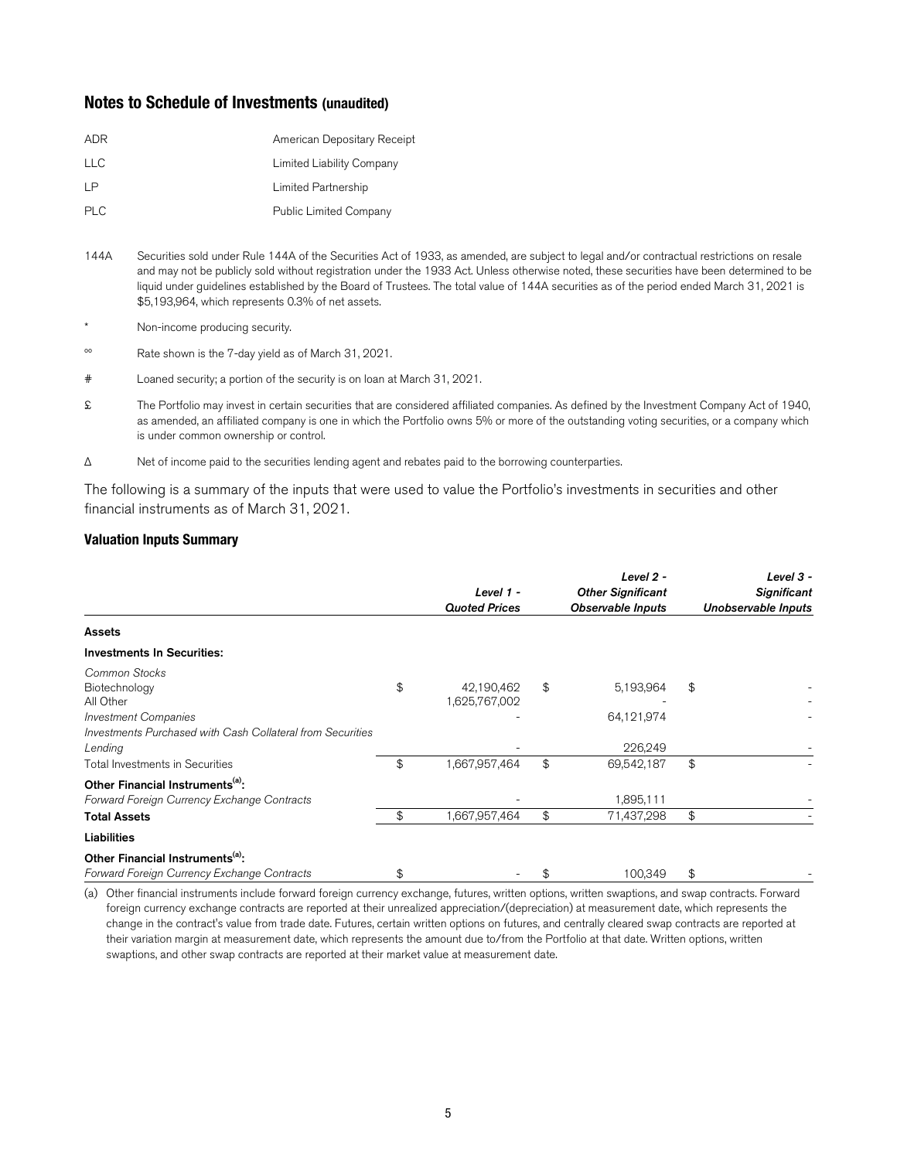## **Notes to Schedule of Investments (unaudited)**

| American Depositary Receipt   |
|-------------------------------|
| Limited Liability Company     |
| Limited Partnership           |
| <b>Public Limited Company</b> |
|                               |

- 144A Securities sold under Rule 144A of the Securities Act of 1933, as amended, are subject to legal and/or contractual restrictions on resale and may not be publicly sold without registration under the 1933 Act. Unless otherwise noted, these securities have been determined to be liquid under guidelines established by the Board of Trustees. The total value of 144A securities as of the period ended March 31, 2021 is \$5,193,964, which represents 0.3% of net assets.
- Non-income producing security.
- ºº Rate shown is the 7-day yield as of March 31, 2021.
- # Loaned security; a portion of the security is on loan at March 31, 2021.
- £ The Portfolio may invest in certain securities that are considered affiliated companies. As defined by the Investment Company Act of 1940, as amended, an affiliated company is one in which the Portfolio owns 5% or more of the outstanding voting securities, or a company which is under common ownership or control.
- Δ Net of income paid to the securities lending agent and rebates paid to the borrowing counterparties.

The following is a summary of the inputs that were used to value the Portfolio's investments in securities and other financial instruments as of March 31, 2021.

### **Valuation Inputs Summary**

|                                                                                                                                                                                        |          | Level 1 -<br><b>Quoted Prices</b>            |          | Level 2 -<br><b>Other Significant</b><br><b>Observable Inputs</b> | Level $3 -$<br><b>Significant</b><br>Unobservable Inputs |
|----------------------------------------------------------------------------------------------------------------------------------------------------------------------------------------|----------|----------------------------------------------|----------|-------------------------------------------------------------------|----------------------------------------------------------|
| <b>Assets</b>                                                                                                                                                                          |          |                                              |          |                                                                   |                                                          |
| <b>Investments In Securities:</b>                                                                                                                                                      |          |                                              |          |                                                                   |                                                          |
| Common Stocks<br>Biotechnology<br>All Other<br><b>Investment Companies</b><br>Investments Purchased with Cash Collateral from Securities<br>Lending<br>Total Investments in Securities | \$<br>\$ | 42,190,462<br>1,625,767,002<br>1,667,957,464 | \$<br>\$ | 5,193,964<br>64,121,974<br>226,249<br>69,542,187                  | \$<br>\$                                                 |
| Other Financial Instruments <sup>(a)</sup> :<br>Forward Foreign Currency Exchange Contracts<br><b>Total Assets</b>                                                                     | \$       | 1,667,957,464                                | \$       | 1,895,111<br>71,437,298                                           | \$                                                       |
| Liabilities                                                                                                                                                                            |          |                                              |          |                                                                   |                                                          |
| Other Financial Instruments <sup>(a)</sup> :<br>Forward Foreign Currency Exchange Contracts                                                                                            | \$       |                                              |          | 100.349                                                           | \$                                                       |

(a) Other financial instruments include forward foreign currency exchange, futures, written options, written swaptions, and swap contracts. Forward foreign currency exchange contracts are reported at their unrealized appreciation/(depreciation) at measurement date, which represents the change in the contract's value from trade date. Futures, certain written options on futures, and centrally cleared swap contracts are reported at their variation margin at measurement date, which represents the amount due to/from the Portfolio at that date. Written options, written swaptions, and other swap contracts are reported at their market value at measurement date.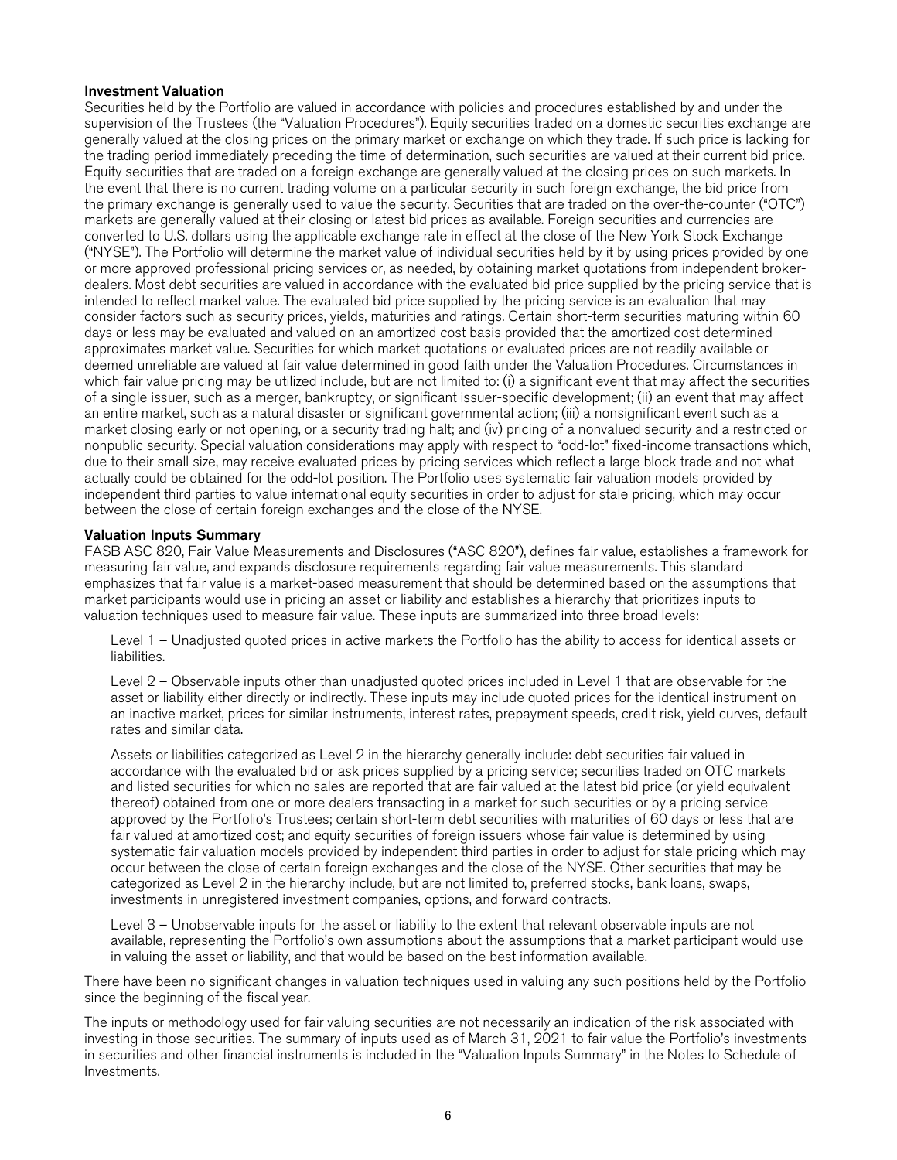### Investment Valuation

Securities held by the Portfolio are valued in accordance with policies and procedures established by and under the supervision of the Trustees (the "Valuation Procedures"). Equity securities traded on a domestic securities exchange are generally valued at the closing prices on the primary market or exchange on which they trade. If such price is lacking for the trading period immediately preceding the time of determination, such securities are valued at their current bid price. Equity securities that are traded on a foreign exchange are generally valued at the closing prices on such markets. In the event that there is no current trading volume on a particular security in such foreign exchange, the bid price from the primary exchange is generally used to value the security. Securities that are traded on the over-the-counter ("OTC") markets are generally valued at their closing or latest bid prices as available. Foreign securities and currencies are converted to U.S. dollars using the applicable exchange rate in effect at the close of the New York Stock Exchange ("NYSE"). The Portfolio will determine the market value of individual securities held by it by using prices provided by one or more approved professional pricing services or, as needed, by obtaining market quotations from independent brokerdealers. Most debt securities are valued in accordance with the evaluated bid price supplied by the pricing service that is intended to reflect market value. The evaluated bid price supplied by the pricing service is an evaluation that may consider factors such as security prices, yields, maturities and ratings. Certain short-term securities maturing within 60 days or less may be evaluated and valued on an amortized cost basis provided that the amortized cost determined approximates market value. Securities for which market quotations or evaluated prices are not readily available or deemed unreliable are valued at fair value determined in good faith under the Valuation Procedures. Circumstances in which fair value pricing may be utilized include, but are not limited to: (i) a significant event that may affect the securities of a single issuer, such as a merger, bankruptcy, or significant issuer-specific development; (ii) an event that may affect an entire market, such as a natural disaster or significant governmental action; (iii) a nonsignificant event such as a market closing early or not opening, or a security trading halt; and (iv) pricing of a nonvalued security and a restricted or nonpublic security. Special valuation considerations may apply with respect to "odd-lot" fixed-income transactions which, due to their small size, may receive evaluated prices by pricing services which reflect a large block trade and not what actually could be obtained for the odd-lot position. The Portfolio uses systematic fair valuation models provided by independent third parties to value international equity securities in order to adjust for stale pricing, which may occur between the close of certain foreign exchanges and the close of the NYSE.

### Valuation Inputs Summary

FASB ASC 820, Fair Value Measurements and Disclosures ("ASC 820"), defines fair value, establishes a framework for measuring fair value, and expands disclosure requirements regarding fair value measurements. This standard emphasizes that fair value is a market-based measurement that should be determined based on the assumptions that market participants would use in pricing an asset or liability and establishes a hierarchy that prioritizes inputs to valuation techniques used to measure fair value. These inputs are summarized into three broad levels:

Level 1 – Unadjusted quoted prices in active markets the Portfolio has the ability to access for identical assets or liabilities.

Level 2 – Observable inputs other than unadjusted quoted prices included in Level 1 that are observable for the asset or liability either directly or indirectly. These inputs may include quoted prices for the identical instrument on an inactive market, prices for similar instruments, interest rates, prepayment speeds, credit risk, yield curves, default rates and similar data.

Assets or liabilities categorized as Level 2 in the hierarchy generally include: debt securities fair valued in accordance with the evaluated bid or ask prices supplied by a pricing service; securities traded on OTC markets and listed securities for which no sales are reported that are fair valued at the latest bid price (or yield equivalent thereof) obtained from one or more dealers transacting in a market for such securities or by a pricing service approved by the Portfolio's Trustees; certain short-term debt securities with maturities of 60 days or less that are fair valued at amortized cost; and equity securities of foreign issuers whose fair value is determined by using systematic fair valuation models provided by independent third parties in order to adjust for stale pricing which may occur between the close of certain foreign exchanges and the close of the NYSE. Other securities that may be categorized as Level 2 in the hierarchy include, but are not limited to, preferred stocks, bank loans, swaps, investments in unregistered investment companies, options, and forward contracts.

Level 3 – Unobservable inputs for the asset or liability to the extent that relevant observable inputs are not available, representing the Portfolio's own assumptions about the assumptions that a market participant would use in valuing the asset or liability, and that would be based on the best information available.

There have been no significant changes in valuation techniques used in valuing any such positions held by the Portfolio since the beginning of the fiscal year.

The inputs or methodology used for fair valuing securities are not necessarily an indication of the risk associated with investing in those securities. The summary of inputs used as of March 31, 2021 to fair value the Portfolio's investments in securities and other financial instruments is included in the "Valuation Inputs Summary" in the Notes to Schedule of Investments.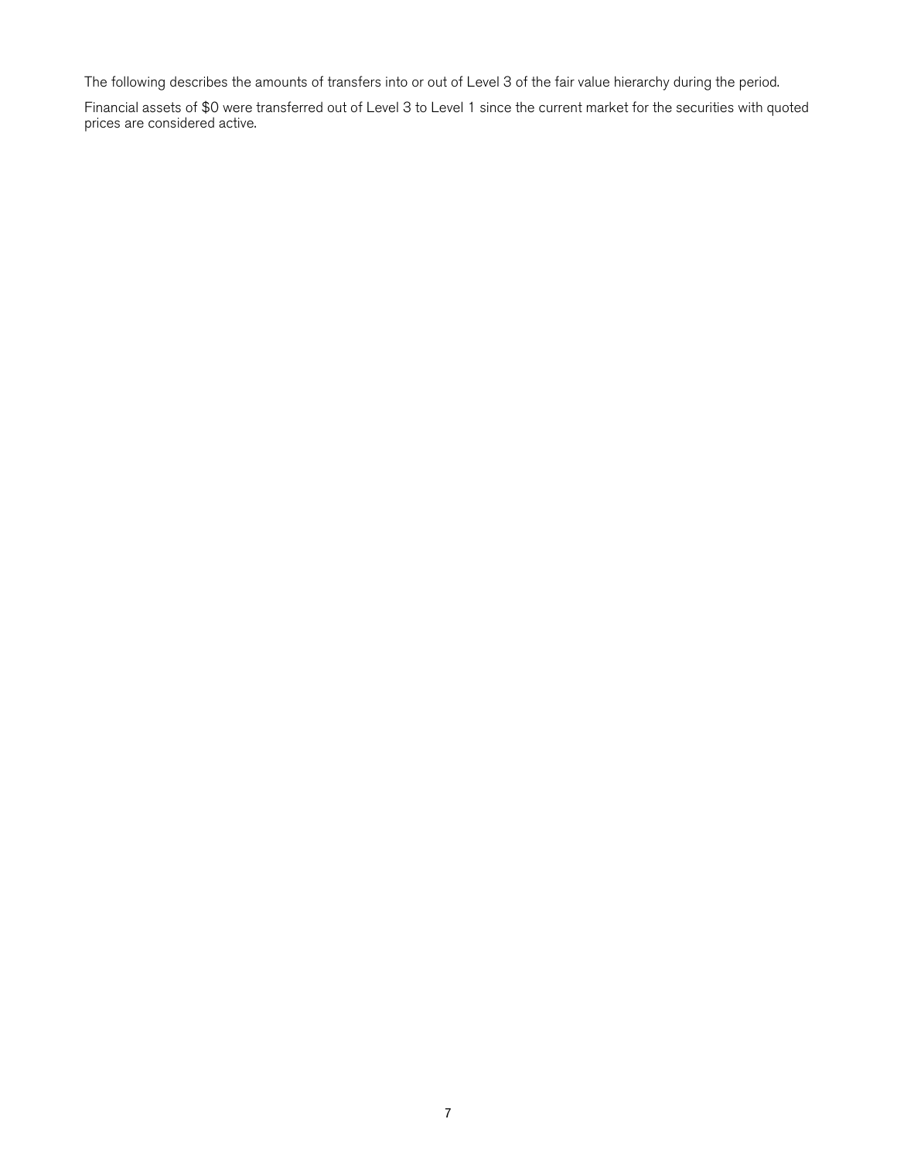The following describes the amounts of transfers into or out of Level 3 of the fair value hierarchy during the period.

Financial assets of \$0 were transferred out of Level 3 to Level 1 since the current market for the securities with quoted prices are considered active.